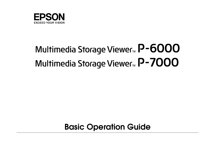

### Multimedia Storage Viewer<sub>™</sub> P-6000 Multimedia Storage Viewer<sub>™</sub> P-7000

**Basic Operation Guide**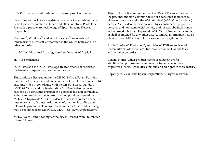EPSON® is a registered trademark of Seiko Epson Corporation.

Photo Fine and its logo are registered trademarks or trademarks of Seiko Epson Corporation in Japan and other countries. Photo Fine Premia is a proprietary technology of Epson Imaging Devices Corporation.

Microsoft®, Windows®, and Windows Vista® are registered trademarks of Microsoft Corporation in the United States and/or other countries.

Apple® and Macintosh® are registered trademarks of Apple Inc.

SD™ is a trademark.

QuickTime and the QuickTime logo are trademarks or registered trademarks of Apple Inc., used under license.

This product is licensed under the MPEG-4 Visual Patent Portfolio License for the personal and non-commercial use of a consumer for (i) encoding video in compliance with the MPEG-4 visual standard (MPEG-4 Video) and/or (ii) decoding MPEG-4 Video that was encoded by a consumer engaged in a personal and non-commercial activity and/or was obtained from a video provider licensed by MPEG LA to provide MPEG-4 Video. No license is granted or shall be implied for any other use. Additional information including that relating to promotional, internal and commercial uses and licensing may be obtained from MPEG LA, L.L.C. - see <www.mpegla.com>

MPEG Layer-3 audio coding technology is licensed from Fraunhofer IIS and Thomson.

This product is licensed under the AVC Patent Portfolio License for the personal and non-commercial use of a consumer to (i) encode video in compliance with the AVC standard (AVC Video) and/or (ii) decode AVC Video that was encoded by a consumer engaged in a personal and non-commercial activity and/or was obtained from a video provider licensed to provide AVC Video. No license is granted or shall be implied for any other use. Additional information may be obtained from MPEG LA, L.L.C. - see <www.mpegla.com>

Adobe®, Adobe® Photoshop®, and Adobe® RGB are registered trademarks of Adobe Systems Incorporated in the United States and/or other countries.

General Notice: Other product names used herein are for identification purposes only and may be trademarks of their respective owners. Epson disclaims any and all rights in those marks.

Copyright © 2008 Seiko Epson Corporation. All rights reserved.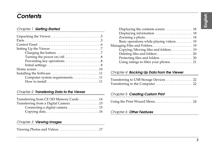#### *[Contents](#page-6-0)*

#### *Chapter 1 [Getting Started](#page-7-1)*

| Computer system requirements11 |
|--------------------------------|
|                                |

#### *[Chapter 2](#page-16-0) Transferring Data to the Viewer*

| Transferring from CF/SD Memory Cards 14 |  |
|-----------------------------------------|--|
| Transferring from a Digital Camera 15   |  |
| Connecting a digital camera15           |  |
|                                         |  |

#### *Chapter 3 Viewing Images*

Viewing Photos and Videos . . . . . . . . . . . . . . . . . . . . . . . .17

## **English**

| Displaying the contents screen 18                                    |
|----------------------------------------------------------------------|
|                                                                      |
|                                                                      |
| Basic operations while playing videos 19                             |
|                                                                      |
| Copying/Moving files and folders. 19                                 |
|                                                                      |
|                                                                      |
| Using ratings to filter your photos $\ldots \ldots \ldots \ldots 21$ |
|                                                                      |

#### *Chapter 4 [Backing Up Data from the Viewer](#page-23-1)*

#### *Chapter 5 Creating Custom Print*

|--|--|--|--|--|--|--|

#### *Chapter 6 Other Features*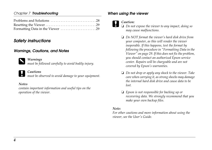#### *Chapter 7 Troubleshooting*

| Formatting Data in the Viewer 29 |  |
|----------------------------------|--|

#### *Safety instructions*

#### *Warnings, Cautions, and Notes*

w *Warnings must be followed carefully to avoid bodily injury.*

c *Cautions must be observed to avoid damage to your equipment.*

#### *Notes*

*contain important information and useful tips on the operation of the viewer.*

#### *When using the viewer*

- c *[Caution:](#page-28-0)* ❏ *Do not expose the viewer to any impact, doing so may cause malfunctions.*
	- ❏ *Do NOT format the viewer's hard disk drive from your computer, as this will render the viewer inoperable. If this happens, test the format by following the procedure in "Formatting Data in the Viewer" on page 29. If this does not fix the problem, you should contact an authorized Epson service center. Repairs will be chargeable and are not covered by Epson's warranties.*
	- ❏ *Do not drop or apply any shock to the viewer. Take care when carrying it, as strong shocks may damage the internal hard disk drive and cause data to be lost.*
	- ❏ *Epson is not responsible for backing up or recovering data. We strongly recommend that you make your own backup files.*

#### *Note:*

*For other cautions and more information about using the viewer, see the User's Guide.*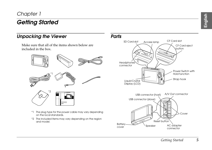#### *Chapter 1*

#### *Getting Started*

#### *Unpacking the Viewer*

Make sure that all of the items shown below are included in the box.



- on the local standards.
- \*2 The included items may vary depending on the region and model.

#### *Parts*



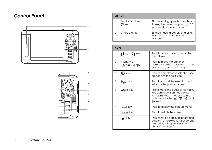#### <span id="page-5-0"></span>*Control Panel*





| Lamps |                             |                                                                                                        |
|-------|-----------------------------|--------------------------------------------------------------------------------------------------------|
| a     | Illumination lamp<br>(Blue) | Flashes during operations such as<br>turning the power on, printing, LCD<br>power-off mode, and so on. |
|       | Charge lamp                 | Lit green during battery charging.<br>Lit orange when an error has<br>occurred.                        |

| Keys     |                                                                    |                                                                                                                                                                                                             |  |
|----------|--------------------------------------------------------------------|-------------------------------------------------------------------------------------------------------------------------------------------------------------------------------------------------------------|--|
| C        | key                                                                | Press to zoom a photo, and adjust<br>the volume.                                                                                                                                                            |  |
| d        | 4-way ring<br>$(\triangle/\triangledown/\triangle/\triangleright)$ | Press to move the cursor or<br>highlight. You can select an item by<br>pressing up, down, left, or right.                                                                                                   |  |
| $\Theta$ | (ок) кеу                                                           | Press to complete the selection and<br>proceed to the next step.                                                                                                                                            |  |
| f        | key                                                                | Press to cancel the selection and<br>return to the previous screen.                                                                                                                                         |  |
| g        | Wheel key                                                          | Roll to move the cursor or highlight.<br>You can select items quickly by<br>rolling this key. This operates in a<br>similar way to the $\triangle$ , $\nabla$ , $\triangle$ , and<br>$\triangleright$ keys. |  |
| h        | (Menu) key                                                         | Press to display the pop up menu.                                                                                                                                                                           |  |
| i        | Display key                                                        | Press to switch the screen.                                                                                                                                                                                 |  |
| i        | $\bigstar$ key                                                     | Press to rate a particular photo and<br>determine the selection. For details,<br>see "Using ratings to filter your<br>photos" on page 21.                                                                   |  |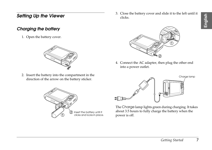#### <span id="page-6-0"></span>*Setting Up the Viewer*

#### <span id="page-6-1"></span>*Charging the battery*

1. Open the battery cover.



2. Insert the battery into the compartment in the direction of the arrow on the battery sticker.



3. Close the battery cover and slide it to the left until it clicks.



4. Connect the AC adapter, then plug the other end into a power outlet.



The Charge lamp lights green during charging. It takes about 3.5 hours to fully charge the battery when the power is off.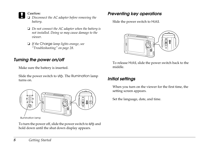- <span id="page-7-0"></span>c *Caution:* ❏ *[Disconnect the AC adapter bef](#page-27-0)ore removing the* 
	- *battery.*
	- ❏ *Do not connect the AC adapter when the battery is not installed. Doing so may cause damage to the viewer.*
	- ❏ *If the* Charge *lamp lights orange, see "Troubleshooting" on page 28.*

#### *Turning the power on/off*

Make sure the battery is inserted.

```
Slide the power switch to I/\mathcal{O}. The Illumination lamp
turns on.
```


To turn the power off, slide the power switch to  $I/\psi$  and hold down until the shut down display appears.

#### <span id="page-7-1"></span>*Preventing key operations*

Slide the power switch to Hold.



<span id="page-7-2"></span>To release Hold, slide the power switch back to the middle.

#### *Initial settings*

When you turn on the viewer for the first time, the setting screen appears.

Set the language, date, and time.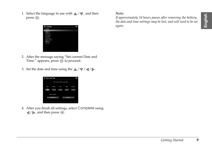1. Select the language to use with  $\triangle / \nabla$ , and then press  $\circledcirc$ .

| 日本語                |  |
|--------------------|--|
| <b>Freddittell</b> |  |
| 開闢中文               |  |
| Deutsch            |  |
| Italiano           |  |
| Español            |  |
| Français           |  |
| Nederlands         |  |
| 講体中文               |  |
| Pyccko             |  |
|                    |  |
|                    |  |
|                    |  |

- 2. After the message saying "Set current Date and Time." appears, press  $\circledcirc$  to proceed.
- 3. Set the date and time using the  $\triangle$  /  $\nabla$  /  $\triangle$  /  $\triangleright$ .



4. After you finish all settings, select Complete using  $\langle \cdot | \cdot \rangle$ , and then press  $\langle \cdot | \cdot \rangle$ .

#### *Note:*

*If approximately 24 hours passes after removing the battery, the date and time settings may be lost, and will need to be set again.*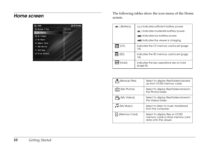| <b>A HOME</b>           | 已日日             |
|-------------------------|-----------------|
| <b>L'Backup Files</b>   | <b>ELPRINT</b>  |
| <b>ID My Photos</b>     | <b>D</b> Sasple |
| <b>EG:</b> My Videos    |                 |
| J <sup>J</sup> My Music |                 |
| <b>El Hemory Card</b>   |                 |
| ~ USB Device            |                 |
| ₹ Settings              |                 |
| □ Print Wizard          |                 |

<span id="page-9-0"></span>**Home screen** The following tables show the icon menu of t[he Hom](#page-13-2)e screen screen.

| <b>Exercise</b> (Battery)   | : Indicates sufficient battery power!                 |  |
|-----------------------------|-------------------------------------------------------|--|
|                             | andicates moderate battery power.                     |  |
|                             | indicates low battery power.                          |  |
|                             | ideal: Indicates the viewer is charging.              |  |
| (CF)                        | Indicates the CF memory card is set (page<br>14).     |  |
| $\overline{\text{SD}}$ (SD) | Indicates the SD memory card is set (page<br>$14$ ).  |  |
| Hold<br>(Hold)              | Indicates the key operations are on hold<br>(page 8). |  |

| (Backup Files)        | Select to display files/folders backed<br>up from CF/SD memory cards.                          |
|-----------------------|------------------------------------------------------------------------------------------------|
| (My Photos)           | Select to display files/folders stored in<br>the Photos folder.                                |
| 1 (My Videos)         | Select to display files/folders stored in<br>the Videos folder.                                |
| $\sqrt{M}$ (My Music) | Select to listen to music transferred<br>from the computer.                                    |
| (Memory Card)         | Select to display files on CF/SD<br>memory cards or store memory card<br>data onto the viewer. |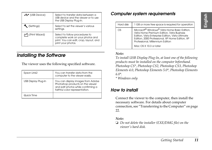<span id="page-10-0"></span>

| $\mathcal{M}$ (USB Device)            | Select to transfer data between a<br>USB device and the viewer or to use<br>the USB Display Plug-In.                               |
|---------------------------------------|------------------------------------------------------------------------------------------------------------------------------------|
| (Settings)                            | Select to set the viewer's various<br>settings.                                                                                    |
| $\mathsf{r}\mathsf{A}$ (Print Wizard) | Select to follow procedures to<br>complete work on your photos and<br>print. You can edit, crop, layout, and<br>print your photos. |

#### *Installing the Software*

The viewer uses the following specified software.

| Epson Link2         | You can transfer data from the<br>computer to the viewer easily.                                                                              |
|---------------------|-----------------------------------------------------------------------------------------------------------------------------------------------|
| USB Display Plug-In | You can display images from Adobe<br>Photoshop products on the viewer<br>and edit photos while confirming a<br>faithful color representation. |
| Quick Time          |                                                                                                                                               |

#### <span id="page-10-1"></span>*Computer system requirements*

| Hard disk | 1 GB or more free space is required for operation                                                                                                                                                                                       |
|-----------|-----------------------------------------------------------------------------------------------------------------------------------------------------------------------------------------------------------------------------------------|
| OS        | Microsoft® Windows® Vista Home Basic Edition,<br>Vista Home Premium Edition, Vista Business<br>Edition, Vista Enterprise Edition, Vista Ultimate<br>Edition, 2000 Professional, XP Home Edition, XP<br>Professional, Millennium Edition |
|           | Mac OS X 10.3 or later                                                                                                                                                                                                                  |

#### *Note:*

<span id="page-10-2"></span>*To install USB Display Plug-In, at least one of the following products must be installed on the computer beforehand. Photoshop CS\*, Photoshop CS2, Photoshop CS3, Photoshop Elements 4.0, Photoshop Elements 5.0\*, Photoshop Elements 6.0\*.*

*[\\* W](#page-21-3)indows only*

#### *How to install*

Connect the viewer to the computer, then install the necessary software. For details about computer connection, see "Transferring to the Computer" on page 22.

#### *Note:*

❏ *Do not delete the installer (EXE/DMG file) on the viewer's hard disk.*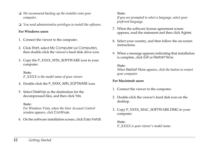- ❏ *We recommend backing up the installer onto your computer.*
- ❏ *You need administrative privileges to install the software.*

#### **For Windows users**

- 1. Connect the viewer to the computer.
- 2. Click Start, select My Computer (or Computer), then double-click the viewer's hard disk drive icon.
- 3. Copy the P\_XXXX\_WIN\_SOFTWARE icon to your computer.

*Note: P\_XXXX is the model name of your viewer.*

- 4. Double-click the P\_XXXX\_WIN\_SOFTWARE icon.
- 5. Select Desktop as the destination for the decompressed files, and then click Yes.

#### *Note:*

*For Windows Vista, when the User Account Control window appears, click* Continue*.*

6. On the software installation screen, click Easy Install.

#### *Note:*

*If you are prompted to select a language, select your preferred language.*

- 7. When the software license agreement screen appears, read the statement and then click Agree.
- 8. Select your country, and then follow the on-screen instructions.
- 9. When a message appears indicating that installation is complete, click Exit or Restart Now.

#### *Note:*

*When* Restart Now *appears, click the button to restart your computer.*

#### **For Macintosh users**

- 1. Connect the viewer to the computer.
- 2. Double-click the viewer's hard disk icon on the desktop.
- 3. Copy P\_XXXX\_MAC\_SOFTWARE.DMG to your computer.

*Note: P\_XXXX is your viewer's model name.*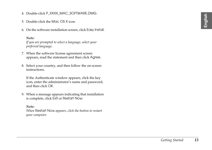- 4. Double-click P\_XXXX\_MAC\_SOFTWARE.DMG .
- 5. Double-click the Mac OS X icon.
- 6. On the software installation screen, click Easy Install .

#### *Note:*

*If you are prompted to select a language, select your preferred language.*

- 7. When the software license agreement screen appears, read the statement and then click Agree .
- 8. Select your country, and then follow the on-screen instructions.

If the Authenticate window appears, click the key icon, enter the administrator's name and password, and then click OK .

9. When a message appears indicating that installation is complete, click Exit or Restart Now .

*Note: When* Restart Now *appears, click the button to restart your computer.*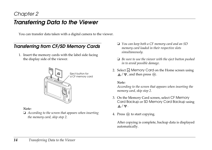#### *Chapter 2*

#### <span id="page-13-0"></span>*Transferring Data to the Viewer*

You can transfer data taken with a digital camera to the viewer.

#### <span id="page-13-2"></span><span id="page-13-1"></span>*Transferring from CF/SD Memory Cards*

1. Insert the memory cards with the label side facing the display side of the viewer.



#### *Note:*

❏ *According to the screen that appears when inserting the memory card, skip step 2.*

- ❏ *You can keep both a CF memory card and an SD memory card loaded in their respective slots simultaneously.*
- ❏ *Be sure to use the viewer with the eject button pushed in to avoid possible damage.*
- 2. Select  $\bigcap$  Memory Card on the Home screen using  $\triangle$  /  $\nabla$  , and then press  $\circledcirc$ .

#### *Note:*

*According to the screen that appears when inserting the memory card, skip step 2.*

- 3. On the Memory Card screen, select CF Memory Card Backup or SD Memory Card Backup using  $\wedge/\nabla$ .
- 4. Press  $\circledast$  to start copying.

After copying is complete, backup data is displayed automatically.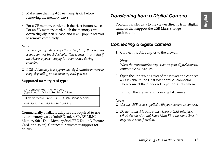- 5. Make sure that the Access lamp is off before removing the memory cards.
- 6. For a CF memory card, push the eject button twice. For an SD memory card, push the memory card down slightly then release, and it will pop up for you to remove completely.

#### *Note:*

- ❏ *Before copying data, charge the battery fully. If the battery is low, connect the AC adapter. The transfer is canceled if the viewer's power supply is disconnected during transfer.*
- ❏ *1 GB of data may take approximately 2 minutes or more to copy, depending on the memory card you use.*

#### **Supported memory card types**

CF (CompactFlash) memory card (Type2 and 3.3 V, including Micro Drive)

SD memory card (up to 2 GB), SD High-Capacity card

MultiMedia Card, MultiMedia Card Plus

Commercially available adapters are required to use other memory cards (miniSD, microSD, RS-MMC, Memory Stick Duo, Memory Stick PRO Duo, xD-Picture Card, and so on). Contact our customer support for details.

#### <span id="page-14-0"></span>*Transferring from a Digital Camera*

You can transfer data to the viewer directly from digital cameras that support the USB Mass Storage specification.

#### <span id="page-14-1"></span>*Connecting a digital camera*

1. Connect the AC adapter to the viewer.

#### *Note:*

*When the remaining battery is low on your digital camera, connect the AC adapter.*

- 2. Open the upper side cover of the viewer and connect a USB cable to the Host (Standard-A) connector. Then connect the other end to your digital camera.
- 3. Turn on the viewer and your digital camera.

#### *Note:*

- ❏ *Use the USB cable supplied with your camera to connect.*
- ❏ *Do not connect to both of the viewer's USB interfaces (Host-Standard A and Slave-Mini B) at the same time. It may cause a malfunction.*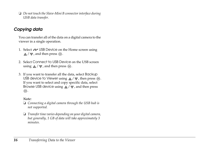❏ *Do not touch the Slave-Mini B connector interface during USB data transfer.*

#### <span id="page-15-0"></span>*Copying data*

You can transfer all of the data on a digital camera to the viewer in a single operation.

- 1. Select  $\mathcal M$  USB Device on the Home screen using  $\triangle$  /  $\nabla$  , and then press  $\circledcirc$ .
- 2. Select Connect to USB Device on the USB screen using  $\wedge / \nabla$ , and then press  $\omega$ .
- 3. If you want to transfer all the data, select Backup USB device to Viewer using  $\triangle / \nabla$ , then press  $\circledcirc$ . If you want to select and copy specific data, select Browse USB device using  $\wedge/\nabla$ , and then press  $(6k)$ .

#### *Note:*

- ❏ *Connecting a digital camera through the USB hub is not supported.*
- ❏ *Transfer time varies depending on your digital camera, but generally, 1 GB of data will take approximately 3 minutes.*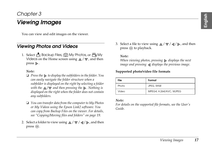#### <span id="page-16-1"></span><span id="page-16-0"></span>*Viewing Images*

You can view and edit images on the viewer.

#### *Viewing Photos and Videos*

1. Select **B** Backup Files, **ightharm** Photos, or **A** My Videos on the Home screen using  $\wedge/\nabla$ , and then  $pres \triangleright$ .

#### *Note:*

- ❏ *Press the to display the subfolders in the folder. You can easily navigate the folder structure when a sub[folder is displayed on the right by selecting a fold](#page-18-0)er with the*  $\triangle/\nabla$  *and then pressing the*  $\triangleright$ . Nothing is *displayed on the right when the folder does not contain any subfolders.*
- ❏ *You can transfer data from the computer to My Photos or My Videos using the Epson Link2 software. You can copy from Backup Files on the viewer. For details, see "Copying/Moving files and folders" on page 19.*
- 2. Select a folder to view using  $\triangle / \sqrt{}/ \triangle / \sqrt{}$ , and then press  $\circledcirc$ .

3. Select a file to view using  $\triangle / \sqrt{}/ \triangle / \mathbb{D}$ , and then press (ok) to playback.

#### *Note:*

*When viewing photos, pressing*  $\triangleright$  *displays the next image and pressing*  $\triangleleft$  *displays the previous image.* 

#### **Supported photo/video file formats**

| File  | Format                  |
|-------|-------------------------|
| Photo | <b>JPEG, RAW</b>        |
| Video | MPEG4, H.264/AVC, MJPEG |

#### *Note:*

*For details on the supported file formats, see the User's Guide.*

# English 3 3**English**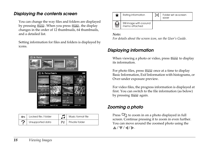#### *Displaying the contents screen*

You can change the way files and folders are displayed by pressing **Display**. When you press **Display**, the display changes in the order of 12 thumbnails, 64 thumbnails, and a detailed list.

Setting information for files and folders is displayed by icons.



| Locked file / folder | Music format file |
|----------------------|-------------------|
| Unsupported data     | Private folder    |

| Rating information                        | Folder set as screen<br>saver |
|-------------------------------------------|-------------------------------|
| Still image with a sound<br>memo attached |                               |

#### *Note:*

*For details about the screen icon, see the User's Guide.*

#### *Displaying information*

When viewing a photo or video, press Display to display its information.

For photo files, press Display once at a time to display Basic Information, Exif Information with histograms, or Over-under exposure preview.

For video files, the progress information is displayed at first. You can switch to the file information (as below) by pressing Display again.

#### *Zooming a photo*

Press  $\Box$  to zoom in on a photo displayed in full screen. Continue pressing it to zoom in even further. You can move around the zoomed photo using the  $\wedge/\nabla/\langle/\rangle$ .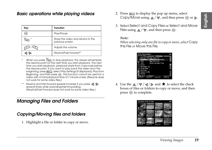#### *Basic operations while playing videos*

| Key | <b>Function</b>                                        |
|-----|--------------------------------------------------------|
| OK  | Play/Pause                                             |
|     | Stops the video and returns to the<br>previous screen. |
|     | Adjusts the volume.                                    |
|     | Rewind/Fast-forward**                                  |

- When you press  $\mathbb{Q}_{\text{Back}}$  to stop playback, the viewer remembers the resume point for the next time you start playback. The next time you start playback, playback starts from 3 seconds before the resume point. If you want to play back the video from the beginning, press Menu, select Play Settings (if displayed), Play from Beginning, and then press  $\circledcirc$ . This function cannot be used for a video with a total playback time of 1 minute or less. (Resume does not work for some video files.)
- Rewind and fast-forward speeds increase if you press  $\langle$  /  $\rangle$ several times while rewinding/fast-forwarding. (Rewind/Fast-Forward does not work for some video files.)

#### *Managing Files and Folders*

#### <span id="page-18-0"></span>*Copying/Moving files and folders*

1. Highlight a file or folder to copy or move.

- 2. Press  $M_{\text{enul}}$  to display the pop up menu, select Copy/Move using  $\wedge / \nabla$ , and then press  $\circledcirc$  or  $\triangleright$ .
- 3. Select Select and Copy Files or Select and Move Files using  $\triangle / \nabla$ , and then press  $\circledcirc$ .

#### *Note:*

*When selecting only one file to copy or move, select* Copy this File *or* Move this File*.*



4. Use the  $\triangle / \triangledown / \triangle \triangle / \triangleright$  and  $\bigstar$  to select the check boxes of files or folders to copy or move, and then press  $\circledcirc$  to complete.

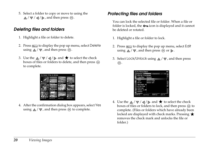5. Select a folder to copy or move to using the  $\wedge$  /  $\nabla$  /  $\triangleleft$  /  $\triangleright$  , and then press  $\circledcirc$ .

#### *Deleting files and folders*

- 1. Highlight a file or folder to delete.
- 2. Press  $M_{\text{enul}}$  to display the pop up menu, select Delete using  $\triangle$  /  $\nabla$ , and then press  $\circledcirc$ .
- 3. Use the  $\triangle / \triangledown / \triangleleft / \triangleright$  and  $\bigstar$  to select the check boxes of files or folders to delete, and then press  $\circledcirc$ to complete.



4. After the confirmation dialog box appears, select Yes using  $\wedge / \nabla$ , and then press  $\circledcirc$  to complete.

#### <span id="page-19-0"></span>*Protecting files and folders*

You can lock the selected file or folder. When a file or folder is locked, the  $\bullet$  icon is displayed and it cannot be deleted or rotated.

- 1. Highlight a file or folder to lock.
- 2. Press  $M_{\text{enul}}$  to display the pop up menu, select Edit using  $\triangle$  /  $\nabla$ , and then press  $\circledcirc$  or  $\triangleright$ .
- 3. Select Lock/Unlock using  $\wedge$  /  $\nabla$ , and then press  $($ OK $).$

| * Rating Filte Rename<br>Copy/Move | Retouch             |  |
|------------------------------------|---------------------|--|
|                                    | <b>Ainlari</b>      |  |
| Sort                               | <b>Rotate Right</b> |  |
| $E$ Print                          | Rotate Left         |  |
| Ballpaper and                      |                     |  |
| <b>41511de Show</b>                |                     |  |
| - Settings                         |                     |  |
| Return to HOL                      |                     |  |
| ti Delete                          |                     |  |

4. Use the  $\triangle$  /  $\triangledown$  /  $\triangle$  /  $\triangleright$  and  $\bigstar$  to select the check boxes of files or folders to lock, and then press  $\circledR$  to complete. (Files or folders which have already been locked are displayed with check marks. Pressing  $\bigstar$ removes the check mark and unlocks the file or folder.)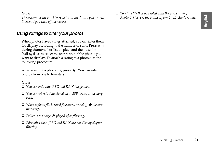English 3 3**English**

*Note:*

*The lock on the file or folder remains in effect until you unlock it, even if you turn off the viewer.*

#### <span id="page-20-1"></span><span id="page-20-0"></span>*Using ratings to filter your photos*

When photos have ratings attached, you can filter them for display according to the number of stars. Press [Menu] during thumbnail or list display, and then use the Rating filter to select the star rating of the photos you want to display. To attach a rating to a photo, use the following procedure.

After selecting a photo file, press  $\bigstar$ . You can rate photos from one to five stars.

#### *Note:*

- ❏ *You can only rate JPEG and RAW image files.*
- ❏ *You cannot rate data stored on a USB device or memory card.*
- $\Box$  *When a photo file is rated five stars, pressing*  $\star$  *deletes its rating.*
- ❏ *Folders are always displayed after filtering.*
- ❏ *Files other than JPEG and RAW are not displayed after filtering.*

❏ *To edit a file that you rated with the viewer using Adobe Bridge, see the online Epson Link2 User's Guide.*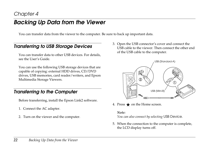#### *Chapter 4*

#### <span id="page-21-0"></span>*Backing Up Data from the Viewer*

You can transfer data from the viewer to the computer. Be sure to back up important data.

#### <span id="page-21-1"></span>*Transferring to USB Storage Devices*

You can transfer data to other USB devices. For details, see the User's Guide.

You can use the following USB storage devices that are capable of copying: external HDD drives, CD/DVD drives, USB memories, card reader/writers, and Epson Multimedia Storage Viewers.

#### <span id="page-21-3"></span><span id="page-21-2"></span>*Transferring to the Computer*

Before transferring, install the Epson Link2 software.

- 1. Connect the AC adapter.
- 2. Turn on the viewer and the computer.

3. Open the USB connector's cover and connect the USB cable to the viewer. Then connect the other end of the USB cable to the computer.



4. Press  $\bigstar$  on the Home screen.

#### *Note:*

*You can also connect by selecting* USB Device*.*

5. When the connection to the computer is complete, the LCD display turns off.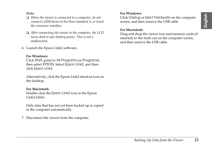#### *Note:*

- ❏ *When the viewer is connected to a computer, do not connect a USB device to the Host-standard A, or touch the connector interface.*
- ❏ *After connecting the viewer to the computer, the LCD turns dark to save battery power. This is not a malfunction.*
- 6. Launch the Epson Link2 software.

#### **For Windows:**

Click Start, point to All Programs (or Programs), then select EPSON. Select Epson Link2, and then click Epson Link2.

Alternatively, click the Epson Link2 shortcut icon on the desktop.

#### **For Macintosh:**

Double-click the Epson Link2 icon in the Epson Link2 folder.

Only data that has not yet been backed up is copied to the computer automatically.

7. Disconnect the viewer from the computer.

#### **For Windows:**

Click Unplug or Eject Hardware on the computer screen, and then remove the USB cable.

#### **For Macintosh:**

Drag and drop the viewer icon and memory cards (if inserted) to the trash can on the computer screen, and then remove the USB cable.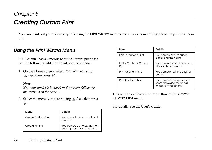#### <span id="page-23-0"></span>*Creating Custom Print*

You can print out your photos by following the Print Wizard menu screen flows from editing photos to printing them out.

#### <span id="page-23-1"></span>*Using the Print Wizard Menu*

Print Wizard has six menus to suit different purposes. See the following table for details on each menu.

1. On the Home screen, select Print Wizard using  $\triangle$  /  $\nabla$  , then press  $\circledcirc$ .

#### *Note:*

*If an unprinted job is stored in the viewer, follow the instructions on the screen.*

2. Select the menu you want using  $\triangle / \triangledown$ , then press  $($ OK $).$ 

| Menu                | <b>Details</b>                                                 |
|---------------------|----------------------------------------------------------------|
| Create Custom Print | You can edit photos and print<br>them out.                     |
| Crop and Print      | You can crop photos, lay them<br>out on paper, and then print. |

| Menu                           | <b>Details</b>                                                                      |
|--------------------------------|-------------------------------------------------------------------------------------|
| Edit Layout and Print          | You can lay photos out on<br>paper and then print.                                  |
| Make Copies of Custom<br>Print | You can make additional prints<br>of your photo projects.                           |
| Print Original Photo           | You can print out the original<br>photo.                                            |
| <b>Print Contact Sheet</b>     | You can print out a contact<br>sheet displaying thumbnail<br>images of your photos. |

This section explains the simple flow of the Create Custom Print menu.

For details, see the User's Guide.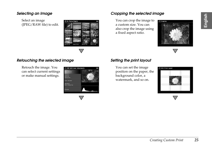# English 5**English**

5

#### *Selecting an Image*

Select an image (JPEG/RAW file) to edit.



#### *Retouching the selected image*

Retouch the image. You can select current settings or make manual settings.



#### *Cropping the selected image*

You can crop the image to a custom size. You can also crop the image using a fixed aspect ratio.



#### *Setting the print layout*

You can set the image position on the paper, the background color, a watermark, and so on.



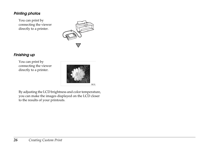#### *Printing photos*

You can print by connecting the viewer directly to a printer.



#### *Finishing up*

You can print by connecting the viewer directly to a printer.



By adjusting the LCD brightness and color temperature, you can make the images displayed on the LCD closer to the results of your printouts.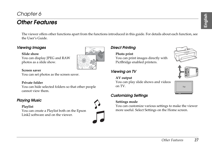#### *Chapter 6*

#### <span id="page-26-0"></span>*Other Features*

The viewer offers other functions apart from the functions introduced in this guide. For details about each function, see the User's Guide.

#### *Viewing Images*

#### **Slide show**

You can display JPEG and RAW photos as a slide show.



#### **Screen saver**

You can set photos as the screen saver.

#### **Private folder**

You can hide selected folders so that other people cannot view them.

#### *Playing Music*

#### **Playlist**

You can create a Playlist both on the Epson Link2 software and on the viewer.



#### *Direct Printing*

#### **Photo print**

You can print images directly with PictBridge enabled printers.

#### *Viewing on TV*

#### **AV output**

You can play slide shows and videos on TV.

#### *Customizing Settings*

#### **Settings mode**

You can customize various settings to make the viewer more useful. Select Settings on the Home screen.





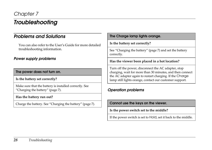#### <span id="page-27-0"></span>*Chapter 7*

#### *Troubleshooting*

#### *Problems and Solutions*

You can also refer to the User's Guide for more detailed troubleshooting information.

#### *[Power supply problems](#page-6-1)*

#### **The power does not [turn on.](#page-6-1)**

**Is the battery set correctly?**

Make sure that the battery is installed correctly. See "Charging the battery" (page 7).

#### **Has the battery run out?**

Charge the battery. See "Charging the battery" (page 7).

#### **The Charge lamp lights orange.**

**Is the battery set correctly?**

See "Charging the battery" (page 7) and set the battery correctly.

**Has the viewer been placed in a hot location?**

Turn off the power, disconnect the AC adapter, stop charging, wait for more than 30 minutes, and then connect the AC adapter again to restart charging. If the Charge lamp still lights orange, contact our customer support.

#### *Operation problems*

#### **Cannot use the keys on the viewer.**

**Is the power switch set to the middle?**

If the power switch is set to Hold, set it back to the middle.